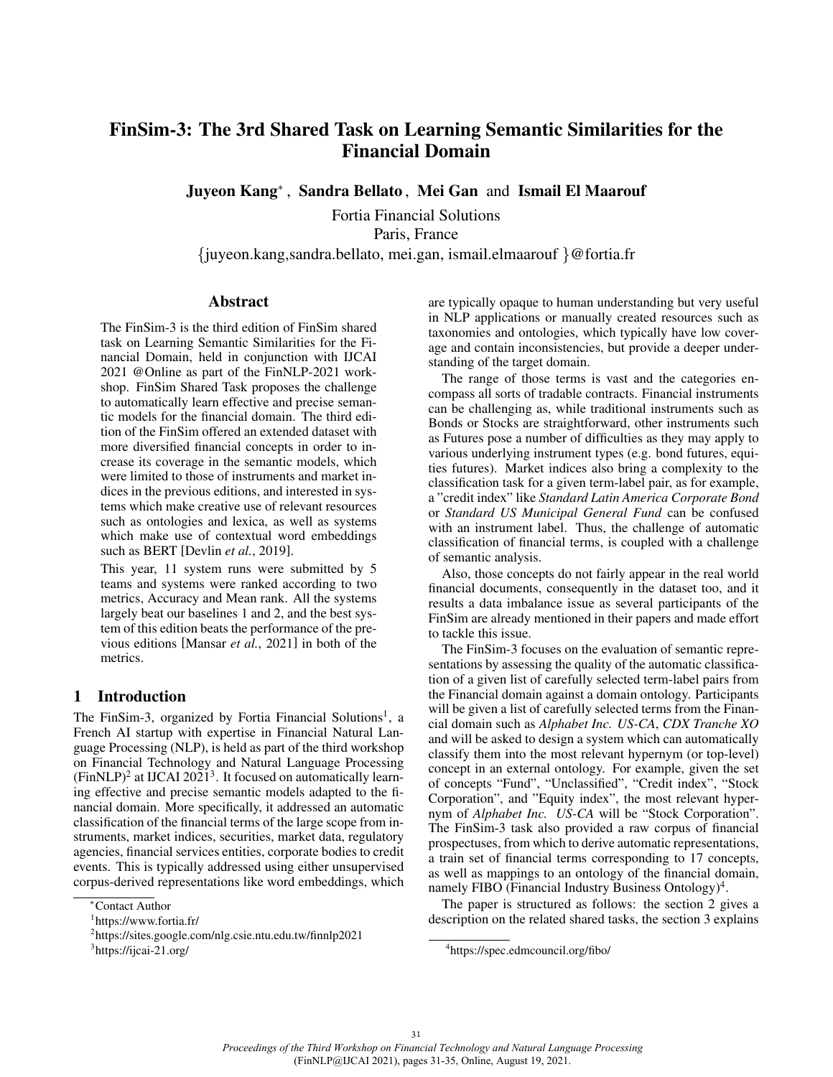# FinSim-3: The 3rd Shared Task on Learning Semantic Similarities for the Financial Domain

Juyeon Kang<sup>∗</sup> , Sandra Bellato , Mei Gan and Ismail El Maarouf

Fortia Financial Solutions Paris, France {juyeon.kang,sandra.bellato, mei.gan, ismail.elmaarouf }@fortia.fr

#### **Abstract**

The FinSim-3 is the third edition of FinSim shared task on Learning Semantic Similarities for the Financial Domain, held in conjunction with IJCAI 2021 @Online as part of the FinNLP-2021 workshop. FinSim Shared Task proposes the challenge to automatically learn effective and precise semantic models for the financial domain. The third edition of the FinSim offered an extended dataset with more diversified financial concepts in order to increase its coverage in the semantic models, which were limited to those of instruments and market indices in the previous editions, and interested in systems which make creative use of relevant resources such as ontologies and lexica, as well as systems which make use of contextual word embeddings such as BERT [Devlin *et al.*, 2019].

This year, 11 system runs were submitted by 5 teams and systems were ranked according to two metrics, Accuracy and Mean rank. All the systems largely beat our baselines 1 and 2, and the best system of this edition beats the performance of the previous editions [Mansar *et al.*, 2021] in both of the metrics.

#### 1 Introduction

The FinSim-3, organized by Fortia Financial Solutions<sup>1</sup>, a French AI startup with expertise in Financial Natural Language Processing (NLP), is held as part of the third workshop on Financial Technology and Natural Language Processing  $(Fin NLP)^2$  at IJCAI 2021<sup>3</sup>. It focused on automatically learning effective and precise semantic models adapted to the financial domain. More specifically, it addressed an automatic classification of the financial terms of the large scope from instruments, market indices, securities, market data, regulatory agencies, financial services entities, corporate bodies to credit events. This is typically addressed using either unsupervised corpus-derived representations like word embeddings, which are typically opaque to human understanding but very useful in NLP applications or manually created resources such as taxonomies and ontologies, which typically have low coverage and contain inconsistencies, but provide a deeper understanding of the target domain.

The range of those terms is vast and the categories encompass all sorts of tradable contracts. Financial instruments can be challenging as, while traditional instruments such as Bonds or Stocks are straightforward, other instruments such as Futures pose a number of difficulties as they may apply to various underlying instrument types (e.g. bond futures, equities futures). Market indices also bring a complexity to the classification task for a given term-label pair, as for example, a "credit index" like *Standard Latin America Corporate Bond* or *Standard US Municipal General Fund* can be confused with an instrument label. Thus, the challenge of automatic classification of financial terms, is coupled with a challenge of semantic analysis.

Also, those concepts do not fairly appear in the real world financial documents, consequently in the dataset too, and it results a data imbalance issue as several participants of the FinSim are already mentioned in their papers and made effort to tackle this issue.

The FinSim-3 focuses on the evaluation of semantic representations by assessing the quality of the automatic classification of a given list of carefully selected term-label pairs from the Financial domain against a domain ontology. Participants will be given a list of carefully selected terms from the Financial domain such as *Alphabet Inc. US-CA*, *CDX Tranche XO* and will be asked to design a system which can automatically classify them into the most relevant hypernym (or top-level) concept in an external ontology. For example, given the set of concepts "Fund", "Unclassified", "Credit index", "Stock Corporation", and "Equity index", the most relevant hypernym of *Alphabet Inc. US-CA* will be "Stock Corporation". The FinSim-3 task also provided a raw corpus of financial prospectuses, from which to derive automatic representations, a train set of financial terms corresponding to 17 concepts, as well as mappings to an ontology of the financial domain, namely FIBO (Financial Industry Business Ontology)<sup>4</sup>.

The paper is structured as follows: the section 2 gives a description on the related shared tasks, the section 3 explains

<sup>∗</sup>Contact Author

<sup>1</sup> https://www.fortia.fr/

<sup>2</sup> https://sites.google.com/nlg.csie.ntu.edu.tw/finnlp2021

<sup>&</sup>lt;sup>3</sup>https://ijcai-21.org/

<sup>4</sup> https://spec.edmcouncil.org/fibo/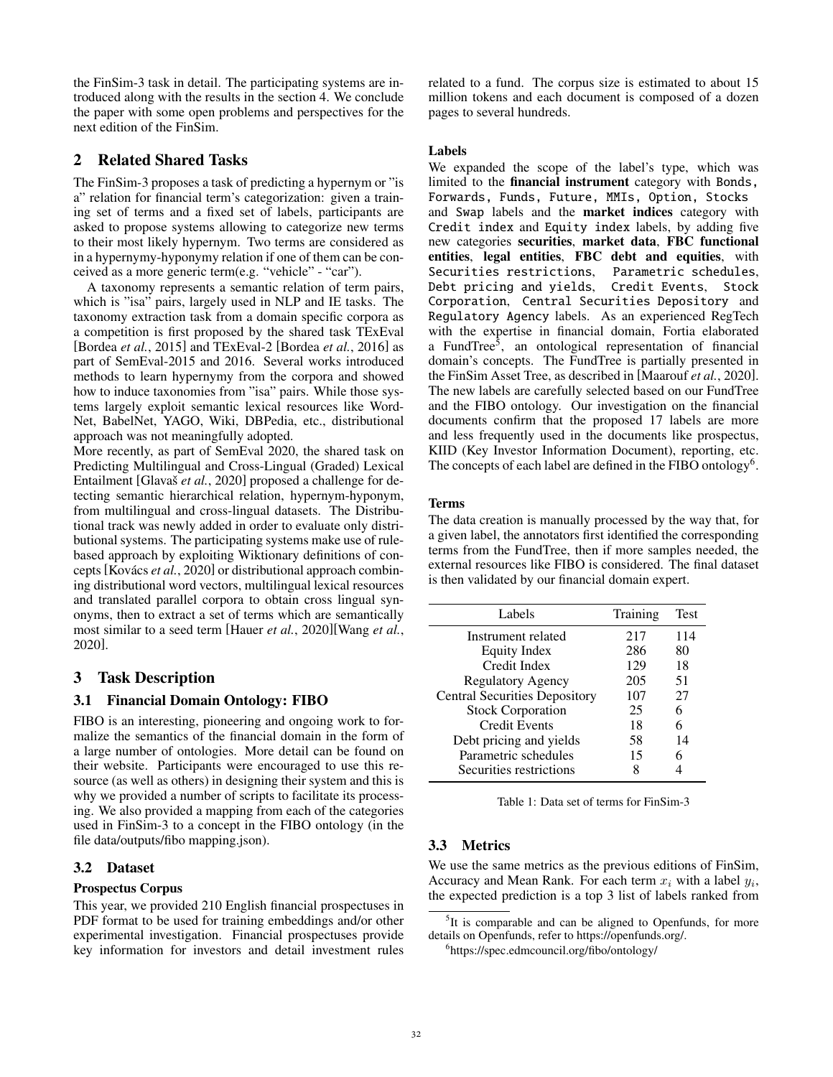the FinSim-3 task in detail. The participating systems are introduced along with the results in the section 4. We conclude the paper with some open problems and perspectives for the next edition of the FinSim.

# 2 Related Shared Tasks

The FinSim-3 proposes a task of predicting a hypernym or "is a" relation for financial term's categorization: given a training set of terms and a fixed set of labels, participants are asked to propose systems allowing to categorize new terms to their most likely hypernym. Two terms are considered as in a hypernymy-hyponymy relation if one of them can be conceived as a more generic term(e.g. "vehicle" - "car").

A taxonomy represents a semantic relation of term pairs, which is "isa" pairs, largely used in NLP and IE tasks. The taxonomy extraction task from a domain specific corpora as a competition is first proposed by the shared task TExEval [Bordea *et al.*, 2015] and TExEval-2 [Bordea *et al.*, 2016] as part of SemEval-2015 and 2016. Several works introduced methods to learn hypernymy from the corpora and showed how to induce taxonomies from "isa" pairs. While those systems largely exploit semantic lexical resources like Word-Net, BabelNet, YAGO, Wiki, DBPedia, etc., distributional approach was not meaningfully adopted.

More recently, as part of SemEval 2020, the shared task on Predicting Multilingual and Cross-Lingual (Graded) Lexical Entailment [Glavaš *et al.*, 2020] proposed a challenge for detecting semantic hierarchical relation, hypernym-hyponym, from multilingual and cross-lingual datasets. The Distributional track was newly added in order to evaluate only distributional systems. The participating systems make use of rulebased approach by exploiting Wiktionary definitions of concepts [Kovács *et al.*, 2020] or distributional approach combining distributional word vectors, multilingual lexical resources and translated parallel corpora to obtain cross lingual synonyms, then to extract a set of terms which are semantically most similar to a seed term [Hauer *et al.*, 2020][Wang *et al.*, 2020].

# 3 Task Description

### 3.1 Financial Domain Ontology: FIBO

FIBO is an interesting, pioneering and ongoing work to formalize the semantics of the financial domain in the form of a large number of ontologies. More detail can be found on their website. Participants were encouraged to use this resource (as well as others) in designing their system and this is why we provided a number of scripts to facilitate its processing. We also provided a mapping from each of the categories used in FinSim-3 to a concept in the FIBO ontology (in the file data/outputs/fibo mapping.json).

### 3.2 Dataset

### Prospectus Corpus

This year, we provided 210 English financial prospectuses in PDF format to be used for training embeddings and/or other experimental investigation. Financial prospectuses provide key information for investors and detail investment rules related to a fund. The corpus size is estimated to about 15 million tokens and each document is composed of a dozen pages to several hundreds.

#### Labels

We expanded the scope of the label's type, which was limited to the financial instrument category with Bonds, Forwards, Funds, Future, MMIs, Option, Stocks and Swap labels and the market indices category with Credit index and Equity index labels, by adding five new categories securities, market data, FBC functional entities, legal entities, FBC debt and equities, with Securities restrictions, Parametric schedules, Debt pricing and yields, Credit Events, Stock Corporation, Central Securities Depository and Regulatory Agency labels. As an experienced RegTech with the expertise in financial domain, Fortia elaborated a FundTree<sup>5</sup>, an ontological representation of financial domain's concepts. The FundTree is partially presented in the FinSim Asset Tree, as described in [Maarouf *et al.*, 2020]. The new labels are carefully selected based on our FundTree and the FIBO ontology. Our investigation on the financial documents confirm that the proposed 17 labels are more and less frequently used in the documents like prospectus, KIID (Key Investor Information Document), reporting, etc. The concepts of each label are defined in the FIBO ontology<sup>6</sup>.

#### Terms

The data creation is manually processed by the way that, for a given label, the annotators first identified the corresponding terms from the FundTree, then if more samples needed, the external resources like FIBO is considered. The final dataset is then validated by our financial domain expert.

| Labels                               | Training | Test |
|--------------------------------------|----------|------|
| Instrument related                   | 217      | 114  |
| <b>Equity Index</b>                  | 286      | 80   |
| Credit Index                         | 129      | 18   |
| Regulatory Agency                    | 205      | 51   |
| <b>Central Securities Depository</b> | 107      | 27   |
| <b>Stock Corporation</b>             | 25       | 6    |
| <b>Credit Events</b>                 | 18       | 6    |
| Debt pricing and yields              | 58       | 14   |
| Parametric schedules                 | 15       |      |
| Securities restrictions              |          |      |

Table 1: Data set of terms for FinSim-3

# 3.3 Metrics

We use the same metrics as the previous editions of FinSim, Accuracy and Mean Rank. For each term  $x_i$  with a label  $y_i$ , the expected prediction is a top 3 list of labels ranked from

<sup>&</sup>lt;sup>5</sup>It is comparable and can be aligned to Openfunds, for more details on Openfunds, refer to https://openfunds.org/.

<sup>6</sup> https://spec.edmcouncil.org/fibo/ontology/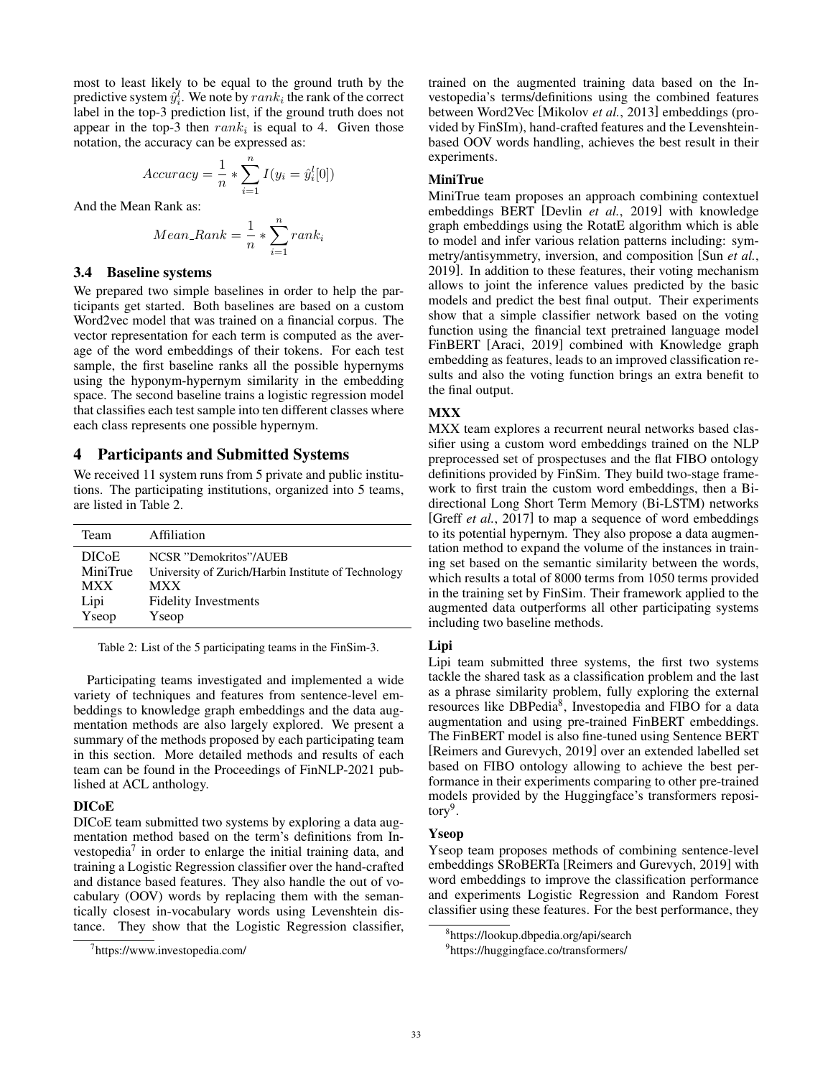most to least likely to be equal to the ground truth by the predictive system  $\hat{y}_i^l$ . We note by  $rank_i$  the rank of the correct label in the top-3 prediction list, if the ground truth does not appear in the top-3 then  $rank_i$  is equal to 4. Given those notation, the accuracy can be expressed as:

$$
Accuracy = \frac{1}{n} * \sum_{i=1}^{n} I(y_i = \hat{y}_i^l[0])
$$

And the Mean Rank as:

$$
Mean\_Rank = \frac{1}{n} * \sum_{i=1}^{n} rank_i
$$

#### 3.4 Baseline systems

We prepared two simple baselines in order to help the participants get started. Both baselines are based on a custom Word2vec model that was trained on a financial corpus. The vector representation for each term is computed as the average of the word embeddings of their tokens. For each test sample, the first baseline ranks all the possible hypernyms using the hyponym-hypernym similarity in the embedding space. The second baseline trains a logistic regression model that classifies each test sample into ten different classes where each class represents one possible hypernym.

#### 4 Participants and Submitted Systems

We received 11 system runs from 5 private and public institutions. The participating institutions, organized into 5 teams, are listed in Table 2.

| <b>Team</b>        | Affiliation                                         |
|--------------------|-----------------------------------------------------|
| DIC <sub>o</sub> E | NCSR "Demokritos"/AUEB                              |
| MiniTrue           | University of Zurich/Harbin Institute of Technology |
| <b>MXX</b>         | <b>MXX</b>                                          |
| Lipi               | <b>Fidelity Investments</b>                         |
| Yseop              | Yseop                                               |

Table 2: List of the 5 participating teams in the FinSim-3.

Participating teams investigated and implemented a wide variety of techniques and features from sentence-level embeddings to knowledge graph embeddings and the data augmentation methods are also largely explored. We present a summary of the methods proposed by each participating team in this section. More detailed methods and results of each team can be found in the Proceedings of FinNLP-2021 published at ACL anthology.

#### DICoE

DICoE team submitted two systems by exploring a data augmentation method based on the term's definitions from Investopedia<sup>7</sup> in order to enlarge the initial training data, and training a Logistic Regression classifier over the hand-crafted and distance based features. They also handle the out of vocabulary (OOV) words by replacing them with the semantically closest in-vocabulary words using Levenshtein distance. They show that the Logistic Regression classifier, trained on the augmented training data based on the Investopedia's terms/definitions using the combined features between Word2Vec [Mikolov *et al.*, 2013] embeddings (provided by FinSIm), hand-crafted features and the Levenshteinbased OOV words handling, achieves the best result in their experiments.

#### **MiniTrue**

MiniTrue team proposes an approach combining contextuel embeddings BERT [Devlin *et al.*, 2019] with knowledge graph embeddings using the RotatE algorithm which is able to model and infer various relation patterns including: symmetry/antisymmetry, inversion, and composition [Sun *et al.*, 2019]. In addition to these features, their voting mechanism allows to joint the inference values predicted by the basic models and predict the best final output. Their experiments show that a simple classifier network based on the voting function using the financial text pretrained language model FinBERT [Araci, 2019] combined with Knowledge graph embedding as features, leads to an improved classification results and also the voting function brings an extra benefit to the final output.

#### **MXX**

MXX team explores a recurrent neural networks based classifier using a custom word embeddings trained on the NLP preprocessed set of prospectuses and the flat FIBO ontology definitions provided by FinSim. They build two-stage framework to first train the custom word embeddings, then a Bidirectional Long Short Term Memory (Bi-LSTM) networks [Greff *et al.*, 2017] to map a sequence of word embeddings to its potential hypernym. They also propose a data augmentation method to expand the volume of the instances in training set based on the semantic similarity between the words, which results a total of 8000 terms from 1050 terms provided in the training set by FinSim. Their framework applied to the augmented data outperforms all other participating systems including two baseline methods.

#### Lipi

Lipi team submitted three systems, the first two systems tackle the shared task as a classification problem and the last as a phrase similarity problem, fully exploring the external resources like DBPedia<sup>8</sup>, Investopedia and FIBO for a data augmentation and using pre-trained FinBERT embeddings. The FinBERT model is also fine-tuned using Sentence BERT [Reimers and Gurevych, 2019] over an extended labelled set based on FIBO ontology allowing to achieve the best performance in their experiments comparing to other pre-trained models provided by the Huggingface's transformers repository<sup>9</sup>.

#### Yseop

Yseop team proposes methods of combining sentence-level embeddings SRoBERTa [Reimers and Gurevych, 2019] with word embeddings to improve the classification performance and experiments Logistic Regression and Random Forest classifier using these features. For the best performance, they

<sup>7</sup> https://www.investopedia.com/

<sup>8</sup> https://lookup.dbpedia.org/api/search

<sup>9</sup> https://huggingface.co/transformers/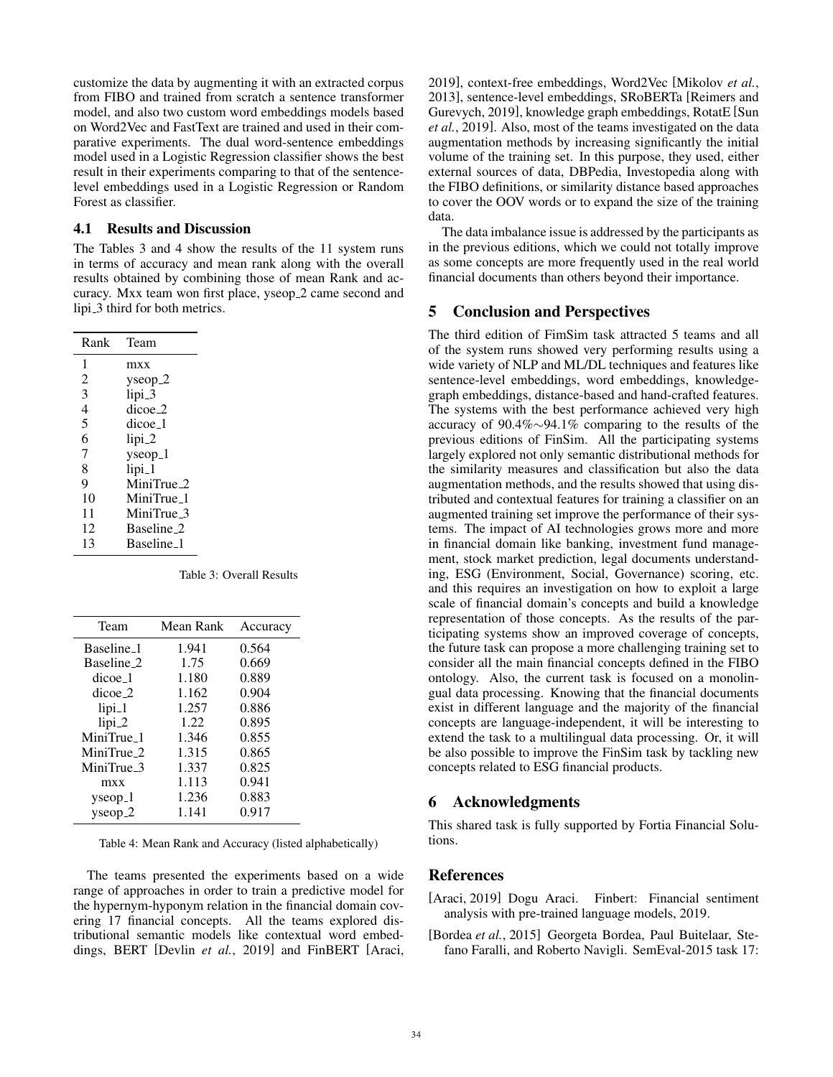customize the data by augmenting it with an extracted corpus from FIBO and trained from scratch a sentence transformer model, and also two custom word embeddings models based on Word2Vec and FastText are trained and used in their comparative experiments. The dual word-sentence embeddings model used in a Logistic Regression classifier shows the best result in their experiments comparing to that of the sentencelevel embeddings used in a Logistic Regression or Random Forest as classifier.

#### 4.1 Results and Discussion

The Tables 3 and 4 show the results of the 11 system runs in terms of accuracy and mean rank along with the overall results obtained by combining those of mean Rank and accuracy. Mxx team won first place, yseop 2 came second and lipi 3 third for both metrics.

| Rank           | Team                   |
|----------------|------------------------|
| 1              | mxx                    |
| $\mathfrak{D}$ | $y$ seop <sub>-2</sub> |
| 3              | lipi_3                 |
| 4              | dicoe 2                |
| 5              | $dicoe_1$              |
| 6              | $lipi_2$               |
| $\overline{7}$ | $y$ seop <sub>-1</sub> |
| 8              | $lipi_1$               |
| 9              | MiniTrue 2             |
| 10             | MiniTrue_1             |
| 11             | MiniTrue_3             |
| 12             | Baseline 2             |
| 13             | Baseline 1             |

Table 3: Overall Results

| Mean Rank | Accuracy |
|-----------|----------|
| 1.941     | 0.564    |
| 1.75      | 0.669    |
| 1.180     | 0.889    |
| 1.162     | 0.904    |
| 1.257     | 0.886    |
| 1.22      | 0.895    |
| 1.346     | 0.855    |
| 1.315     | 0.865    |
| 1.337     | 0.825    |
| 1.113     | 0.941    |
| 1.236     | 0.883    |
| 1.141     | 0.917    |
|           |          |

Table 4: Mean Rank and Accuracy (listed alphabetically)

The teams presented the experiments based on a wide range of approaches in order to train a predictive model for the hypernym-hyponym relation in the financial domain covering 17 financial concepts. All the teams explored distributional semantic models like contextual word embeddings, BERT [Devlin *et al.*, 2019] and FinBERT [Araci, 2019], context-free embeddings, Word2Vec [Mikolov *et al.*, 2013], sentence-level embeddings, SRoBERTa [Reimers and Gurevych, 2019], knowledge graph embeddings, RotatE [Sun *et al.*, 2019]. Also, most of the teams investigated on the data augmentation methods by increasing significantly the initial volume of the training set. In this purpose, they used, either external sources of data, DBPedia, Investopedia along with the FIBO definitions, or similarity distance based approaches to cover the OOV words or to expand the size of the training data.

The data imbalance issue is addressed by the participants as in the previous editions, which we could not totally improve as some concepts are more frequently used in the real world financial documents than others beyond their importance.

#### 5 Conclusion and Perspectives

The third edition of FimSim task attracted 5 teams and all of the system runs showed very performing results using a wide variety of NLP and ML/DL techniques and features like sentence-level embeddings, word embeddings, knowledgegraph embeddings, distance-based and hand-crafted features. The systems with the best performance achieved very high accuracy of 90.4%∼94.1% comparing to the results of the previous editions of FinSim. All the participating systems largely explored not only semantic distributional methods for the similarity measures and classification but also the data augmentation methods, and the results showed that using distributed and contextual features for training a classifier on an augmented training set improve the performance of their systems. The impact of AI technologies grows more and more in financial domain like banking, investment fund management, stock market prediction, legal documents understanding, ESG (Environment, Social, Governance) scoring, etc. and this requires an investigation on how to exploit a large scale of financial domain's concepts and build a knowledge representation of those concepts. As the results of the participating systems show an improved coverage of concepts, the future task can propose a more challenging training set to consider all the main financial concepts defined in the FIBO ontology. Also, the current task is focused on a monolingual data processing. Knowing that the financial documents exist in different language and the majority of the financial concepts are language-independent, it will be interesting to extend the task to a multilingual data processing. Or, it will be also possible to improve the FinSim task by tackling new concepts related to ESG financial products.

#### 6 Acknowledgments

This shared task is fully supported by Fortia Financial Solutions.

### References

- [Araci, 2019] Dogu Araci. Finbert: Financial sentiment analysis with pre-trained language models, 2019.
- [Bordea *et al.*, 2015] Georgeta Bordea, Paul Buitelaar, Stefano Faralli, and Roberto Navigli. SemEval-2015 task 17: